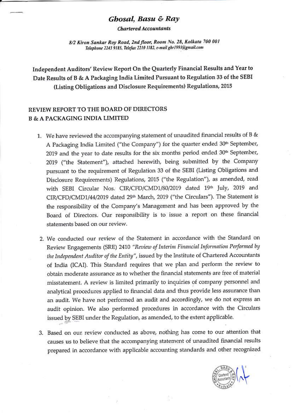## Ghosal, Basu & Ray

**Chartered Accountants** 

8/2 Kiron Sankar Roy Road, 2nd floor, Room No. 28, Kolkata 700 001 Telephone 2243 9185, Telefax 2210 1182, e-mail gbr1991@gmail.com

Independent Auditors' Review Report On the Quarterly Financial Results and Year to Date Results of B & A Packaging India Limited Pursuant to Regulation 33 of the SEBI (Listing Obligations and Disclosure Requirements) Regulations, 2015

# REVIEW REPORT TO THE BOARD OF DIRECTORS **B & A PACKAGING INDIA LIMITED**

- 1. We have reviewed the accompanying statement of unaudited financial results of B & A Packaging India Limited ("the Company") for the quarter ended 30<sup>th</sup> September, 2019 and the year to date results for the six months period ended 30<sup>th</sup> September, 2019 ("the Statement"), attached herewith, being submitted by the Company pursuant to the requirement of Regulation 33 of the SEBI (Listing Obligations and Disclosure Requirements) Regulations, 2015 ("the Regulation"), as amended, read with SEBI Circular Nos. CIR/CFD/CMD1/80/2019 dated 19th July, 2019 and CIR/CFD/CMD1/44/2019 dated 29<sup>th</sup> March, 2019 ("the Circulars"). The Statement is the responsibility of the Company's Management and has been approved by the Board of Directors. Our responsibility is to issue a report on these financial statements based on our review.
- 2. We conducted our review of the Statement in accordance with the Standard on Review Engagements (SRE) 2410 "Review of Interim Financial Information Performed by the Independent Auditor of the Entity", issued by the Institute of Chartered Accountants of India (ICAI). This Standard requires that we plan and perform the review to obtain moderate assurance as to whether the financial statements are free of material misstatement. A review is limited primarily to inquiries of company personnel and analytical procedures applied to financial data and thus provide less assurance than an audit. We have not performed an audit and accordingly, we do not express an audit opinion. We also performed procedures in accordance with the Circulars issued by SEBI under the Regulation, as amended, to the extent applicable.
- 3. Based on our review conducted as above, nothing has come to our attention that causes us to believe that the accompanying statement of unaudited financial results prepared in accordance with applicable accounting standards and other recognized

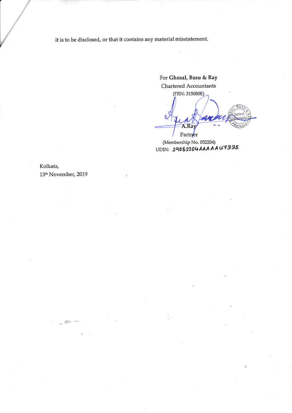it is to be disclosed, or that it contains any material misstatement.

For Ghosal, Basu & Ray Chartered Accountants (FRN: 315080E)

A.Ray Partner

(Membership No. 052204) UDIN: 19052204AAAAAu7335

Kolkata, 13th November, 2019

 $-6$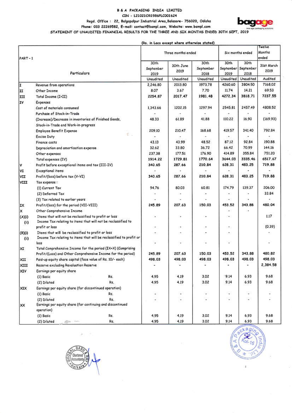### B & A PACKAGING INDIA LIMITED CIN - L21021OR1986PLC001624





Phone: 033 22269582, E-mail: contact@bampl.com, Website: www.bampl.com STATEMENT OF UNAUDITED FINANCIAL RESULTS FOR THE THREE AND SIX MONTHS ENDED 30TH SEPT, 2019

(Rs. in Lacs except where otherwise stated)

| $PART-1$       |                                                                                                                          | Three months ended        |                   |                                        | Six months ended |                                     | Twelve<br>Months<br>ended |  |
|----------------|--------------------------------------------------------------------------------------------------------------------------|---------------------------|-------------------|----------------------------------------|------------------|-------------------------------------|---------------------------|--|
|                | <b>Particulars</b>                                                                                                       | 30th<br>September<br>2019 | 30th June<br>2019 | 30th<br>September<br>2018<br>Unaudited | 30th<br>2019     | 30th<br>September September<br>2018 | 31st March<br>2019        |  |
|                |                                                                                                                          | Unaudited                 | Unaudited         |                                        | Unaudited        | Unaudited                           | Audited                   |  |
| I              | Revenue from operations                                                                                                  | 2,246,80                  | 2013,80           | 1973.78                                | 4260.60          | 3804.50                             | 7168,02                   |  |
| II             | Other Income                                                                                                             | 8.07                      | 3,67              | 7.70                                   | 11.74            | 14.21                               | 69.53                     |  |
| ш              | Total Income (I+II)                                                                                                      | 2254.87                   | 2017.47           | 1981.48                                | 4272.34          | 3818.71                             | 7237.55                   |  |
| IV             | Expenses                                                                                                                 |                           |                   |                                        |                  |                                     |                           |  |
|                | Cost of materials consumed                                                                                               | 1,343.66                  | 1202.15           | 1297.94                                | 2545.81          | 2457.49                             | 4808,52                   |  |
|                | Purchase of Stock-in-Trade                                                                                               |                           |                   |                                        |                  |                                     |                           |  |
|                | (Increase)/Decrease in inventories of Finished Goods,                                                                    | 48.33                     | 61.89             | 41.88                                  | 110.22           | 16.90                               | (169.93)                  |  |
|                | Stock-in-Trade and Work-in-progress                                                                                      |                           |                   |                                        |                  |                                     |                           |  |
|                | <b>Employee Benefit Expense</b><br>€.                                                                                    | 209.10                    | 210.47            | 168.68                                 | 419.57           | 341.40                              | 792.84                    |  |
|                | <b>Excise Duty</b>                                                                                                       |                           |                   |                                        |                  |                                     |                           |  |
|                | Finance costs                                                                                                            | 43.13                     | 43.99             | 48.52                                  | 87.12            | 92.84                               | 190.88                    |  |
|                | Depreciation and amortisation expense                                                                                    | 32.62                     | 33.80             | 36,72                                  | 66.42            | 70.99                               | 144.16                    |  |
|                | Other expenses                                                                                                           | 237.38                    | 177.51            | 176.90                                 | 414.89           | 355.84                              | 751.20                    |  |
|                | Total expenses (IV)                                                                                                      | 1914.22                   | 1729.81           | 1770.64                                | 3644.03          | 3335.46                             | 6517.67                   |  |
| I۷             | Profit before exceptional items and tax (III-IV)                                                                         | 340.65                    | 287.66            | 210.84                                 | 628.31           | 483.25                              | 719.88                    |  |
| ΙVΙ            | <b>Exceptional items</b>                                                                                                 |                           |                   |                                        |                  |                                     |                           |  |
| VII            | Profit/(loss) before tax (V-VI)                                                                                          | 340.65                    | 287.66            | 210.84                                 | 628.31           | 483.25                              | 719.88                    |  |
| VIII           | Tax expense:                                                                                                             |                           |                   |                                        |                  |                                     |                           |  |
|                | (1) Current Tax                                                                                                          | 94.76                     | 80.03             | 60.81                                  | 174.79           | 139,37                              | 206,00                    |  |
|                | (2) Deferred Tax                                                                                                         |                           |                   |                                        | ٠                | $\blacksquare$                      | 33.84                     |  |
|                | (3) Tax related to earlier years                                                                                         |                           |                   |                                        |                  |                                     |                           |  |
| IX             | Profit/(loss) for the period (VII-VIII)                                                                                  | 245.89                    | 207.63            | 150.03                                 | 453.52           | 343.88                              | 480.04                    |  |
| ×              | Other Comprehensive Income                                                                                               |                           |                   |                                        |                  |                                     |                           |  |
| (A)(i)<br>(i)  | Items that will not be reclassified to profit or loss<br>Income Tax relating to items that will not be reclassified to   |                           | ٠                 |                                        |                  |                                     | 1.17                      |  |
|                | profit or loss                                                                                                           | ٠                         | ٠                 |                                        | ۰                |                                     | (0.39)                    |  |
| (B)(i)<br>(ii) | Items that will be reclassified to profit or loss<br>Income Tax relating to items that will be reclassified to profit or | ÷.                        |                   |                                        | ×                |                                     |                           |  |
|                | loss                                                                                                                     | i.                        | ۷                 |                                        | ÷                |                                     |                           |  |
| XI             | Total Comprehensive Income for the period (IX+X) (Comprising                                                             | 245.89                    | 207.63            | 150.03                                 | 453.52           | 343.88                              | 480,82                    |  |
|                | Profit/(Loss) and Other Comprehensive Income for the period)                                                             |                           | 498.03            | 498.03                                 | 498.03           | 498.03                              | 498.03                    |  |
| ХII            | Paid-up equity share capital (face value of Rs. 10/- each)                                                               | 498.03                    |                   |                                        |                  |                                     | 2,384.58                  |  |
| XIII           | Reserve excluding Revaluation Reserve                                                                                    |                           |                   |                                        |                  |                                     |                           |  |
| <b>XIV</b>     | Earnings per equity share                                                                                                | 4.95                      |                   | 3.02                                   | $-9.14$          | 6.93                                | 9.68                      |  |
|                | (1) Basic<br>Rs.                                                                                                         |                           | 4.19              | 3.02                                   | 9.14             | 6.93                                | 9.68                      |  |
|                | Rs.<br>(2) Diluted                                                                                                       | 4.95                      | 4.19              |                                        |                  |                                     |                           |  |
| XIX            | Earnings per equity share (for discontinued operation)                                                                   |                           |                   |                                        |                  | Z,                                  |                           |  |
|                | $(1)$ Basic<br>Rs.                                                                                                       |                           | $\star$           | ٠                                      | a,               | $\overline{\phantom{a}}$            |                           |  |
| XX             | Rs.<br>(2) Diluted<br>Earnings per equity share (for continuing and discontinued<br>operation)                           | ٠                         | ۰                 |                                        |                  |                                     |                           |  |
|                | (1) Basic<br>Rs.                                                                                                         | 4.95                      | 4.19              | 3.02                                   | 9,14             | 6,93                                | 9.68                      |  |
|                | (2) Diluted<br>Rs.                                                                                                       | 4.95                      | 4.19              | 3.02                                   | 9,14             | 6,93                                | 9.68                      |  |



ï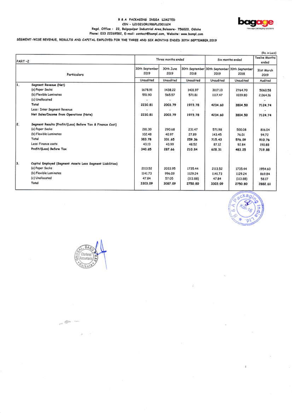#### B & A PACKAGING INDIA LIMITED CIN - L210210R1986PLC001624 Regd. Office : 22, Balgopalpur Industrial Area, Balasore- 756020, Odisha Phone: 033 22269582, E-mail: contact@bampl.com, Website: www.bampl.com



## SEGMENT-WISE REVENUE, RESULTS AND CAPITAL EMPLOYED FOR THE THREE AND SIX MONTHS ENDED 30TH SEPTEMBER, 2019

| PART-2 |                                                            |                                     | Three months ended             |                          |                   | Six months ended                                                         |                    |
|--------|------------------------------------------------------------|-------------------------------------|--------------------------------|--------------------------|-------------------|--------------------------------------------------------------------------|--------------------|
|        | <b>Particulars</b>                                         | 30th September<br>2019<br>Unaudited | 30th June<br>2019<br>Unaudited | 8102<br><b>Unaudited</b> | 2019<br>Unaudited | 30th September 30th September 30th September<br>2018<br><b>Unaudited</b> | 31st March<br>2019 |
|        |                                                            |                                     |                                |                          |                   |                                                                          | Audited            |
| Iı.    | Segment Revenue (Net)                                      |                                     |                                |                          |                   |                                                                          |                    |
|        | (a) Paper Sacks                                            | 1678.91                             | 1438.22                        | 1401.97                  | 3117.13           | 2764.70                                                                  | 5060.58            |
|        | (b) Flexible Laminates                                     | 551.90                              | 565.57                         | 571.81                   | 1117.47           | 1039.80                                                                  | 2,064.16           |
|        | (c) Unallocated                                            | ÷.                                  |                                |                          |                   |                                                                          |                    |
|        | Total                                                      | 2230.81                             | 2003.79                        | 1973.78                  | 4234.60           | 3804.50                                                                  | 7124.74            |
|        | Less : Inter Segment Reverue                               |                                     |                                |                          |                   |                                                                          |                    |
|        | Net Sales/Income from Operations (Note)                    | 2230.81                             | 2003.79                        | 1973.78                  | 4234.60           | 3804.50                                                                  | 7124.74            |
| 2.     | Segment Results [Profit/(Loss) Before Tax & Finance Cost]  |                                     |                                |                          |                   |                                                                          |                    |
|        | (a) Paper Sacks                                            | 281.30                              | 290.68                         | 231.47                   | 571.98            | 500.08                                                                   | 816.04             |
|        | (b) Flexible Laminates                                     | 102.48                              | 40.97                          | 27.89                    | 143.45            | 76.01                                                                    | 94.72              |
|        | Total                                                      | 383.78                              | 331.65                         | 259.36                   | 715.43            | 576.09                                                                   | 910.76             |
|        | Less: Finance costs                                        | 43.13                               | 43.99                          | 48.52                    | 87.12             | 92.84                                                                    | 190.88             |
|        | Profit/(Loss) Before Tax                                   | 340.65                              | 287.66                         | 210.84                   | 628.31            | 483.25                                                                   | 719.88             |
| 13.    | Capital Employed (Segment Assets Less Segment Liabilities) |                                     |                                |                          |                   |                                                                          |                    |
|        | (a) Paper Sacks                                            | 2113.52                             | 2033.95                        | 1735.44                  | 2113.52           | 1735.44                                                                  | 1954.60            |
|        | (b) Flexible Laminates                                     | 1141.73                             | 996.09                         | 1129.24                  | 1141.73           | 1129.24                                                                  | 869.84             |
|        | (c) Unallocated                                            | 47.84                               | 57.05                          | (113.66)                 | 47.84             | (113.88)                                                                 | 58.17              |
|        | Total                                                      | 3303.09                             | 3087.09                        | 2750.80                  | 3303.09           | 2750.80                                                                  | 2882.61            |





 $\sim$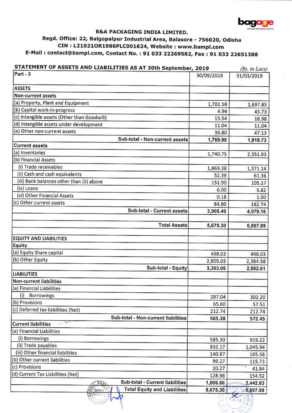

 $101 - 16$ 

## **B&A PACKAGING INDIA LIMITED.** Regd. Office: 22, Balgopalpur Industrial Area, Balasore - 756020, Odisha CIN: L21021OR1986PLC001624, Website: www.bampl.com E-Mail: contact@bampl.com, Contact No.: 91 033 22269582, Fax: 91 033 22651388

| STATEMENT OF ASSETS AND LIABILITIES AS AT 30th September, 2019 |            | (Rs. in Lacs) |
|----------------------------------------------------------------|------------|---------------|
| Part - 3                                                       | 30/09/2019 | 31/03/2019    |
| <b>ASSETS</b>                                                  |            |               |
| <b>Non-current assets</b>                                      |            |               |
| (a) Property, Plant and Equipment                              | 1,701.58   | 1,697.85      |
| (b) Capital work-in-progress                                   | 4.94       | 43.73         |
| (c) Intangible assets (Other than Goodwill)                    | 15.54      | 18.98         |
| (d) Intangible assets under development                        | 11.04      | 11.04         |
| (e) Other non-current assets                                   | 36.80      | 47.13         |
| Sub-total - Non-current assets                                 | 1,769.90   | 1,818.73      |
| <b>Current assets</b>                                          |            |               |
| (a) Inventories                                                | 1,740.75   | 2,351.93      |
| (b) Financial Assets                                           |            |               |
| (i) Trade receivables                                          | 1,869.38   | 1,371.14      |
| (ii) Cash and cash equivalents                                 | 52.39      | 61.36         |
| (iii) Bank balances other than (ii) above                      | 151.90     | 105.17        |
| (iv) Loans                                                     | 6.00       | 5.82          |
| (vi) Other Financial Assets                                    | 0.18       | 1.00          |
| (c) Other current assets                                       | 84.80      | 182.74        |
| Sub-total - Current assets                                     | 3,905.40   | 4,079.16      |
| <b>Total Assets</b>                                            | 5,675.30   | 5,897.89      |
| <b>EQUITY AND LIABILITIES</b>                                  |            |               |
| Equity                                                         |            |               |
| (a) Equity Share capital                                       | 498.03     | 498.03        |
| (b) Other Equity                                               | 2,805.03   | 2,384.58      |
| Sub-total - Equity                                             | 3,303.06   | 2,882.61      |
| <b>LIABILITIES</b>                                             |            |               |
| <b>Non-current liabilities</b>                                 |            |               |
| (a) Financial Liabilities                                      |            |               |
| Borrowings<br>(i)                                              | 287.04     | 302.20        |
| (b) Provisions                                                 | 65.60      | 57.51         |
| (c) Deferred tax liabilities (Net)                             | 212.74     | 212.74        |
| Sub-total - Non-current liabilities                            | 565.38     | 572.45        |
| <b>Current liabilities</b>                                     |            |               |
| (a) Financial Liabilities                                      |            |               |
| (i) Borrowings                                                 | 585.30     | 919.22        |
| (ii) Trade payables                                            | 832.17     | 1,045.94      |
| (iii) Other financial liabilities                              | 140.87     | 165.58        |
| (b) Other current liabilities                                  | 99.27      | 115.73        |
| (c) Provisions                                                 | 20.27      | 41.84         |
| (d) Current Tax Liabilities (Net)                              | 128.98     | 154.52        |
| Sub-total - Current liabilities<br>BAS                         | 1,806.86   | 2,442.83      |
| 61<br><b>Total Equity and Liabilities</b><br>Charlers          | 5,675.30   | 5,897.89      |

Reinard /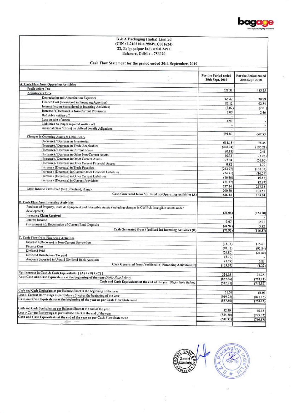

# B & A Packaging (India) Limited<br>(CIN : L210210R1986PLC001624)<br>22, Balgopalpur Industrial Area<br>Balasore, Odisha - 756020

| Cash Flow Statement for the period ended 30th September, 2019 |  |  |  |  |  |
|---------------------------------------------------------------|--|--|--|--|--|
|---------------------------------------------------------------|--|--|--|--|--|

| For the Period ended<br>30th Sept, 2019<br>30th Sept, 2018<br>Profit before Tax<br>628.31<br>483.25<br>Adjustments for :-<br>Depreciation and Amortization Expenses<br>66.42<br>70.99<br>Finance Cost (considered in Financing Activities)<br>87.12<br>92.84<br>Interest Income (considered in Investing Activities)<br>(3.07)<br>(2.01)<br>Increase / (Decrease) in Non-Current Provisions<br>8.09<br>2.46<br>Bad debts written off<br>×<br>Loss on sale of assets<br>4.93<br>٠<br>Liabilities no longer required written off<br>$\overline{\phantom{a}}$<br>Actuarial Gain / (Loss) on defined benefit obligations<br>$\bullet$<br>791.80<br>647.53<br>Changes in Operating Assets & Liabilities :-<br>(Increase) / Decrease in Inventories<br>611.18<br>76.45<br>(Increase) / Decrease in Trade Receivables<br>(498.24)<br>(196.21)<br>(Increase) / Decrease in Current Loans<br>(0.18)<br>0.41<br>(Increase) / Decrease in Other Non-Current Assets<br>10.33<br>(5.28)<br>(Increase) / Decrease in Other Current Assets<br>97.94<br>(56.00)<br>(Increase) / Decrease in Other Current Financial Assets<br>0.82<br>1.70<br>Increase / (Decrease) in Trade Payables<br>(213.77)<br>(183, 32)<br>Increase / (Decrease) in Current Other Financial Liabilities<br>(24.71)<br>(16.09)<br>Increase / (Decrease) in Other Current Liabilities<br>(16.46)<br>(9.57)<br>Increase / (Decrease) in Current Provisions<br>(21.57)<br>(2.27)<br>737.14<br>257.35<br>Less : Income Taxes Paid (Net of Refund, if any)<br>200.30<br>103.51<br>Cash Generated from / (utilised in) Operating Activities (A)<br>536.84<br>153,84<br>Purchase of Property, Plant & Equipment and Intangible Assets (including changes in CWIP & Intangible Assets under<br>development)<br>(36.05)<br>(124.20)<br>Insurance Claim Received<br>Interest Income<br>3.07<br>2.01<br>(Investment in)/ Redemption of Current Bank Deposits<br>(44.94)<br>5.82<br>Cash Generated from / (utilised in) Investing Activities (B)<br>(77.92)<br>(116.37)<br>C. Cash Flow from Financing Activities<br>Increase / (Decrease) in Non-Current Borrowings<br>(15.16)<br>115.61<br><b>Finance Cost</b><br>(87.12)<br>(92.84)<br>Dividend Paid<br>(24.80)<br>(24.80)<br>Dividend Distribution Tax paid<br>(5.10)<br>Amounts deposited in Unpaid Dividend Bank Accounts<br>(1.79)<br>0.81<br>Cash Generated from / (utilised in) Financing Activities (C)<br>(133.97)<br>(1.22)<br>Net Increase in Cash & Cash Equivalents [(A) + (B) + (C) ]<br>324.95<br>36.25<br>Add: Cash and Cash Equivalents at the beginning of the year (Refer Note Below)<br>(857, 86)<br>(783.12)<br>Cash and Cash Equivalents at the end of the year (Refer Note Below)<br>(532.91)<br>(746.87)<br>Cash and Cash Equivalent as per Balance Sheet at the beginning of the year<br>61.36<br>65.03<br>Less :- Current Borrowings as per Balance Sheet at the beginning of the year<br>(919.22)<br>(848.15)<br>Cash and Cash Equivalents at the beginning of the year as per Cash Flow Statement<br>(857.86)<br>(783.12)<br>Cash and Cash Equivalent as per Balance Sheet at the end of the year<br>52.39<br>46.15<br>Less :- Current Borrowings as per Balance Sheet at the end of the year<br>(585.30)<br>(793.02)<br>Cash and Cash Equivalents at the end of the year as per Cash Flow Statement<br>(532.91)<br>(746.87) |                                               | × |                      |
|------------------------------------------------------------------------------------------------------------------------------------------------------------------------------------------------------------------------------------------------------------------------------------------------------------------------------------------------------------------------------------------------------------------------------------------------------------------------------------------------------------------------------------------------------------------------------------------------------------------------------------------------------------------------------------------------------------------------------------------------------------------------------------------------------------------------------------------------------------------------------------------------------------------------------------------------------------------------------------------------------------------------------------------------------------------------------------------------------------------------------------------------------------------------------------------------------------------------------------------------------------------------------------------------------------------------------------------------------------------------------------------------------------------------------------------------------------------------------------------------------------------------------------------------------------------------------------------------------------------------------------------------------------------------------------------------------------------------------------------------------------------------------------------------------------------------------------------------------------------------------------------------------------------------------------------------------------------------------------------------------------------------------------------------------------------------------------------------------------------------------------------------------------------------------------------------------------------------------------------------------------------------------------------------------------------------------------------------------------------------------------------------------------------------------------------------------------------------------------------------------------------------------------------------------------------------------------------------------------------------------------------------------------------------------------------------------------------------------------------------------------------------------------------------------------------------------------------------------------------------------------------------------------------------------------------------------------------------------------------------------------------------------------------------------------------------------------------------------------------------------------------------------------------------------------------------------------------------------------------------------------------------------------------------------------------------------------------------------|-----------------------------------------------|---|----------------------|
|                                                                                                                                                                                                                                                                                                                                                                                                                                                                                                                                                                                                                                                                                                                                                                                                                                                                                                                                                                                                                                                                                                                                                                                                                                                                                                                                                                                                                                                                                                                                                                                                                                                                                                                                                                                                                                                                                                                                                                                                                                                                                                                                                                                                                                                                                                                                                                                                                                                                                                                                                                                                                                                                                                                                                                                                                                                                                                                                                                                                                                                                                                                                                                                                                                                                                                                                                      |                                               |   | For the Period ended |
|                                                                                                                                                                                                                                                                                                                                                                                                                                                                                                                                                                                                                                                                                                                                                                                                                                                                                                                                                                                                                                                                                                                                                                                                                                                                                                                                                                                                                                                                                                                                                                                                                                                                                                                                                                                                                                                                                                                                                                                                                                                                                                                                                                                                                                                                                                                                                                                                                                                                                                                                                                                                                                                                                                                                                                                                                                                                                                                                                                                                                                                                                                                                                                                                                                                                                                                                                      | A. Cash Flow from Operating Activities        |   |                      |
|                                                                                                                                                                                                                                                                                                                                                                                                                                                                                                                                                                                                                                                                                                                                                                                                                                                                                                                                                                                                                                                                                                                                                                                                                                                                                                                                                                                                                                                                                                                                                                                                                                                                                                                                                                                                                                                                                                                                                                                                                                                                                                                                                                                                                                                                                                                                                                                                                                                                                                                                                                                                                                                                                                                                                                                                                                                                                                                                                                                                                                                                                                                                                                                                                                                                                                                                                      |                                               |   |                      |
|                                                                                                                                                                                                                                                                                                                                                                                                                                                                                                                                                                                                                                                                                                                                                                                                                                                                                                                                                                                                                                                                                                                                                                                                                                                                                                                                                                                                                                                                                                                                                                                                                                                                                                                                                                                                                                                                                                                                                                                                                                                                                                                                                                                                                                                                                                                                                                                                                                                                                                                                                                                                                                                                                                                                                                                                                                                                                                                                                                                                                                                                                                                                                                                                                                                                                                                                                      |                                               |   |                      |
|                                                                                                                                                                                                                                                                                                                                                                                                                                                                                                                                                                                                                                                                                                                                                                                                                                                                                                                                                                                                                                                                                                                                                                                                                                                                                                                                                                                                                                                                                                                                                                                                                                                                                                                                                                                                                                                                                                                                                                                                                                                                                                                                                                                                                                                                                                                                                                                                                                                                                                                                                                                                                                                                                                                                                                                                                                                                                                                                                                                                                                                                                                                                                                                                                                                                                                                                                      |                                               |   |                      |
|                                                                                                                                                                                                                                                                                                                                                                                                                                                                                                                                                                                                                                                                                                                                                                                                                                                                                                                                                                                                                                                                                                                                                                                                                                                                                                                                                                                                                                                                                                                                                                                                                                                                                                                                                                                                                                                                                                                                                                                                                                                                                                                                                                                                                                                                                                                                                                                                                                                                                                                                                                                                                                                                                                                                                                                                                                                                                                                                                                                                                                                                                                                                                                                                                                                                                                                                                      |                                               |   |                      |
|                                                                                                                                                                                                                                                                                                                                                                                                                                                                                                                                                                                                                                                                                                                                                                                                                                                                                                                                                                                                                                                                                                                                                                                                                                                                                                                                                                                                                                                                                                                                                                                                                                                                                                                                                                                                                                                                                                                                                                                                                                                                                                                                                                                                                                                                                                                                                                                                                                                                                                                                                                                                                                                                                                                                                                                                                                                                                                                                                                                                                                                                                                                                                                                                                                                                                                                                                      |                                               |   |                      |
|                                                                                                                                                                                                                                                                                                                                                                                                                                                                                                                                                                                                                                                                                                                                                                                                                                                                                                                                                                                                                                                                                                                                                                                                                                                                                                                                                                                                                                                                                                                                                                                                                                                                                                                                                                                                                                                                                                                                                                                                                                                                                                                                                                                                                                                                                                                                                                                                                                                                                                                                                                                                                                                                                                                                                                                                                                                                                                                                                                                                                                                                                                                                                                                                                                                                                                                                                      |                                               |   |                      |
|                                                                                                                                                                                                                                                                                                                                                                                                                                                                                                                                                                                                                                                                                                                                                                                                                                                                                                                                                                                                                                                                                                                                                                                                                                                                                                                                                                                                                                                                                                                                                                                                                                                                                                                                                                                                                                                                                                                                                                                                                                                                                                                                                                                                                                                                                                                                                                                                                                                                                                                                                                                                                                                                                                                                                                                                                                                                                                                                                                                                                                                                                                                                                                                                                                                                                                                                                      |                                               |   |                      |
|                                                                                                                                                                                                                                                                                                                                                                                                                                                                                                                                                                                                                                                                                                                                                                                                                                                                                                                                                                                                                                                                                                                                                                                                                                                                                                                                                                                                                                                                                                                                                                                                                                                                                                                                                                                                                                                                                                                                                                                                                                                                                                                                                                                                                                                                                                                                                                                                                                                                                                                                                                                                                                                                                                                                                                                                                                                                                                                                                                                                                                                                                                                                                                                                                                                                                                                                                      |                                               |   |                      |
|                                                                                                                                                                                                                                                                                                                                                                                                                                                                                                                                                                                                                                                                                                                                                                                                                                                                                                                                                                                                                                                                                                                                                                                                                                                                                                                                                                                                                                                                                                                                                                                                                                                                                                                                                                                                                                                                                                                                                                                                                                                                                                                                                                                                                                                                                                                                                                                                                                                                                                                                                                                                                                                                                                                                                                                                                                                                                                                                                                                                                                                                                                                                                                                                                                                                                                                                                      |                                               |   |                      |
|                                                                                                                                                                                                                                                                                                                                                                                                                                                                                                                                                                                                                                                                                                                                                                                                                                                                                                                                                                                                                                                                                                                                                                                                                                                                                                                                                                                                                                                                                                                                                                                                                                                                                                                                                                                                                                                                                                                                                                                                                                                                                                                                                                                                                                                                                                                                                                                                                                                                                                                                                                                                                                                                                                                                                                                                                                                                                                                                                                                                                                                                                                                                                                                                                                                                                                                                                      |                                               |   |                      |
|                                                                                                                                                                                                                                                                                                                                                                                                                                                                                                                                                                                                                                                                                                                                                                                                                                                                                                                                                                                                                                                                                                                                                                                                                                                                                                                                                                                                                                                                                                                                                                                                                                                                                                                                                                                                                                                                                                                                                                                                                                                                                                                                                                                                                                                                                                                                                                                                                                                                                                                                                                                                                                                                                                                                                                                                                                                                                                                                                                                                                                                                                                                                                                                                                                                                                                                                                      |                                               |   |                      |
|                                                                                                                                                                                                                                                                                                                                                                                                                                                                                                                                                                                                                                                                                                                                                                                                                                                                                                                                                                                                                                                                                                                                                                                                                                                                                                                                                                                                                                                                                                                                                                                                                                                                                                                                                                                                                                                                                                                                                                                                                                                                                                                                                                                                                                                                                                                                                                                                                                                                                                                                                                                                                                                                                                                                                                                                                                                                                                                                                                                                                                                                                                                                                                                                                                                                                                                                                      |                                               |   |                      |
|                                                                                                                                                                                                                                                                                                                                                                                                                                                                                                                                                                                                                                                                                                                                                                                                                                                                                                                                                                                                                                                                                                                                                                                                                                                                                                                                                                                                                                                                                                                                                                                                                                                                                                                                                                                                                                                                                                                                                                                                                                                                                                                                                                                                                                                                                                                                                                                                                                                                                                                                                                                                                                                                                                                                                                                                                                                                                                                                                                                                                                                                                                                                                                                                                                                                                                                                                      |                                               |   |                      |
|                                                                                                                                                                                                                                                                                                                                                                                                                                                                                                                                                                                                                                                                                                                                                                                                                                                                                                                                                                                                                                                                                                                                                                                                                                                                                                                                                                                                                                                                                                                                                                                                                                                                                                                                                                                                                                                                                                                                                                                                                                                                                                                                                                                                                                                                                                                                                                                                                                                                                                                                                                                                                                                                                                                                                                                                                                                                                                                                                                                                                                                                                                                                                                                                                                                                                                                                                      |                                               |   |                      |
|                                                                                                                                                                                                                                                                                                                                                                                                                                                                                                                                                                                                                                                                                                                                                                                                                                                                                                                                                                                                                                                                                                                                                                                                                                                                                                                                                                                                                                                                                                                                                                                                                                                                                                                                                                                                                                                                                                                                                                                                                                                                                                                                                                                                                                                                                                                                                                                                                                                                                                                                                                                                                                                                                                                                                                                                                                                                                                                                                                                                                                                                                                                                                                                                                                                                                                                                                      |                                               |   |                      |
|                                                                                                                                                                                                                                                                                                                                                                                                                                                                                                                                                                                                                                                                                                                                                                                                                                                                                                                                                                                                                                                                                                                                                                                                                                                                                                                                                                                                                                                                                                                                                                                                                                                                                                                                                                                                                                                                                                                                                                                                                                                                                                                                                                                                                                                                                                                                                                                                                                                                                                                                                                                                                                                                                                                                                                                                                                                                                                                                                                                                                                                                                                                                                                                                                                                                                                                                                      |                                               |   |                      |
|                                                                                                                                                                                                                                                                                                                                                                                                                                                                                                                                                                                                                                                                                                                                                                                                                                                                                                                                                                                                                                                                                                                                                                                                                                                                                                                                                                                                                                                                                                                                                                                                                                                                                                                                                                                                                                                                                                                                                                                                                                                                                                                                                                                                                                                                                                                                                                                                                                                                                                                                                                                                                                                                                                                                                                                                                                                                                                                                                                                                                                                                                                                                                                                                                                                                                                                                                      |                                               |   |                      |
|                                                                                                                                                                                                                                                                                                                                                                                                                                                                                                                                                                                                                                                                                                                                                                                                                                                                                                                                                                                                                                                                                                                                                                                                                                                                                                                                                                                                                                                                                                                                                                                                                                                                                                                                                                                                                                                                                                                                                                                                                                                                                                                                                                                                                                                                                                                                                                                                                                                                                                                                                                                                                                                                                                                                                                                                                                                                                                                                                                                                                                                                                                                                                                                                                                                                                                                                                      |                                               |   |                      |
|                                                                                                                                                                                                                                                                                                                                                                                                                                                                                                                                                                                                                                                                                                                                                                                                                                                                                                                                                                                                                                                                                                                                                                                                                                                                                                                                                                                                                                                                                                                                                                                                                                                                                                                                                                                                                                                                                                                                                                                                                                                                                                                                                                                                                                                                                                                                                                                                                                                                                                                                                                                                                                                                                                                                                                                                                                                                                                                                                                                                                                                                                                                                                                                                                                                                                                                                                      |                                               |   |                      |
|                                                                                                                                                                                                                                                                                                                                                                                                                                                                                                                                                                                                                                                                                                                                                                                                                                                                                                                                                                                                                                                                                                                                                                                                                                                                                                                                                                                                                                                                                                                                                                                                                                                                                                                                                                                                                                                                                                                                                                                                                                                                                                                                                                                                                                                                                                                                                                                                                                                                                                                                                                                                                                                                                                                                                                                                                                                                                                                                                                                                                                                                                                                                                                                                                                                                                                                                                      |                                               |   |                      |
|                                                                                                                                                                                                                                                                                                                                                                                                                                                                                                                                                                                                                                                                                                                                                                                                                                                                                                                                                                                                                                                                                                                                                                                                                                                                                                                                                                                                                                                                                                                                                                                                                                                                                                                                                                                                                                                                                                                                                                                                                                                                                                                                                                                                                                                                                                                                                                                                                                                                                                                                                                                                                                                                                                                                                                                                                                                                                                                                                                                                                                                                                                                                                                                                                                                                                                                                                      |                                               |   |                      |
|                                                                                                                                                                                                                                                                                                                                                                                                                                                                                                                                                                                                                                                                                                                                                                                                                                                                                                                                                                                                                                                                                                                                                                                                                                                                                                                                                                                                                                                                                                                                                                                                                                                                                                                                                                                                                                                                                                                                                                                                                                                                                                                                                                                                                                                                                                                                                                                                                                                                                                                                                                                                                                                                                                                                                                                                                                                                                                                                                                                                                                                                                                                                                                                                                                                                                                                                                      |                                               |   |                      |
|                                                                                                                                                                                                                                                                                                                                                                                                                                                                                                                                                                                                                                                                                                                                                                                                                                                                                                                                                                                                                                                                                                                                                                                                                                                                                                                                                                                                                                                                                                                                                                                                                                                                                                                                                                                                                                                                                                                                                                                                                                                                                                                                                                                                                                                                                                                                                                                                                                                                                                                                                                                                                                                                                                                                                                                                                                                                                                                                                                                                                                                                                                                                                                                                                                                                                                                                                      |                                               |   |                      |
|                                                                                                                                                                                                                                                                                                                                                                                                                                                                                                                                                                                                                                                                                                                                                                                                                                                                                                                                                                                                                                                                                                                                                                                                                                                                                                                                                                                                                                                                                                                                                                                                                                                                                                                                                                                                                                                                                                                                                                                                                                                                                                                                                                                                                                                                                                                                                                                                                                                                                                                                                                                                                                                                                                                                                                                                                                                                                                                                                                                                                                                                                                                                                                                                                                                                                                                                                      |                                               |   |                      |
|                                                                                                                                                                                                                                                                                                                                                                                                                                                                                                                                                                                                                                                                                                                                                                                                                                                                                                                                                                                                                                                                                                                                                                                                                                                                                                                                                                                                                                                                                                                                                                                                                                                                                                                                                                                                                                                                                                                                                                                                                                                                                                                                                                                                                                                                                                                                                                                                                                                                                                                                                                                                                                                                                                                                                                                                                                                                                                                                                                                                                                                                                                                                                                                                                                                                                                                                                      |                                               |   |                      |
|                                                                                                                                                                                                                                                                                                                                                                                                                                                                                                                                                                                                                                                                                                                                                                                                                                                                                                                                                                                                                                                                                                                                                                                                                                                                                                                                                                                                                                                                                                                                                                                                                                                                                                                                                                                                                                                                                                                                                                                                                                                                                                                                                                                                                                                                                                                                                                                                                                                                                                                                                                                                                                                                                                                                                                                                                                                                                                                                                                                                                                                                                                                                                                                                                                                                                                                                                      |                                               |   |                      |
|                                                                                                                                                                                                                                                                                                                                                                                                                                                                                                                                                                                                                                                                                                                                                                                                                                                                                                                                                                                                                                                                                                                                                                                                                                                                                                                                                                                                                                                                                                                                                                                                                                                                                                                                                                                                                                                                                                                                                                                                                                                                                                                                                                                                                                                                                                                                                                                                                                                                                                                                                                                                                                                                                                                                                                                                                                                                                                                                                                                                                                                                                                                                                                                                                                                                                                                                                      | <b>B. Cash Flow from Investing Activities</b> |   |                      |
|                                                                                                                                                                                                                                                                                                                                                                                                                                                                                                                                                                                                                                                                                                                                                                                                                                                                                                                                                                                                                                                                                                                                                                                                                                                                                                                                                                                                                                                                                                                                                                                                                                                                                                                                                                                                                                                                                                                                                                                                                                                                                                                                                                                                                                                                                                                                                                                                                                                                                                                                                                                                                                                                                                                                                                                                                                                                                                                                                                                                                                                                                                                                                                                                                                                                                                                                                      |                                               |   |                      |
|                                                                                                                                                                                                                                                                                                                                                                                                                                                                                                                                                                                                                                                                                                                                                                                                                                                                                                                                                                                                                                                                                                                                                                                                                                                                                                                                                                                                                                                                                                                                                                                                                                                                                                                                                                                                                                                                                                                                                                                                                                                                                                                                                                                                                                                                                                                                                                                                                                                                                                                                                                                                                                                                                                                                                                                                                                                                                                                                                                                                                                                                                                                                                                                                                                                                                                                                                      |                                               |   |                      |
|                                                                                                                                                                                                                                                                                                                                                                                                                                                                                                                                                                                                                                                                                                                                                                                                                                                                                                                                                                                                                                                                                                                                                                                                                                                                                                                                                                                                                                                                                                                                                                                                                                                                                                                                                                                                                                                                                                                                                                                                                                                                                                                                                                                                                                                                                                                                                                                                                                                                                                                                                                                                                                                                                                                                                                                                                                                                                                                                                                                                                                                                                                                                                                                                                                                                                                                                                      |                                               |   |                      |
|                                                                                                                                                                                                                                                                                                                                                                                                                                                                                                                                                                                                                                                                                                                                                                                                                                                                                                                                                                                                                                                                                                                                                                                                                                                                                                                                                                                                                                                                                                                                                                                                                                                                                                                                                                                                                                                                                                                                                                                                                                                                                                                                                                                                                                                                                                                                                                                                                                                                                                                                                                                                                                                                                                                                                                                                                                                                                                                                                                                                                                                                                                                                                                                                                                                                                                                                                      |                                               |   |                      |
|                                                                                                                                                                                                                                                                                                                                                                                                                                                                                                                                                                                                                                                                                                                                                                                                                                                                                                                                                                                                                                                                                                                                                                                                                                                                                                                                                                                                                                                                                                                                                                                                                                                                                                                                                                                                                                                                                                                                                                                                                                                                                                                                                                                                                                                                                                                                                                                                                                                                                                                                                                                                                                                                                                                                                                                                                                                                                                                                                                                                                                                                                                                                                                                                                                                                                                                                                      |                                               |   |                      |
|                                                                                                                                                                                                                                                                                                                                                                                                                                                                                                                                                                                                                                                                                                                                                                                                                                                                                                                                                                                                                                                                                                                                                                                                                                                                                                                                                                                                                                                                                                                                                                                                                                                                                                                                                                                                                                                                                                                                                                                                                                                                                                                                                                                                                                                                                                                                                                                                                                                                                                                                                                                                                                                                                                                                                                                                                                                                                                                                                                                                                                                                                                                                                                                                                                                                                                                                                      |                                               |   |                      |
|                                                                                                                                                                                                                                                                                                                                                                                                                                                                                                                                                                                                                                                                                                                                                                                                                                                                                                                                                                                                                                                                                                                                                                                                                                                                                                                                                                                                                                                                                                                                                                                                                                                                                                                                                                                                                                                                                                                                                                                                                                                                                                                                                                                                                                                                                                                                                                                                                                                                                                                                                                                                                                                                                                                                                                                                                                                                                                                                                                                                                                                                                                                                                                                                                                                                                                                                                      |                                               |   |                      |
|                                                                                                                                                                                                                                                                                                                                                                                                                                                                                                                                                                                                                                                                                                                                                                                                                                                                                                                                                                                                                                                                                                                                                                                                                                                                                                                                                                                                                                                                                                                                                                                                                                                                                                                                                                                                                                                                                                                                                                                                                                                                                                                                                                                                                                                                                                                                                                                                                                                                                                                                                                                                                                                                                                                                                                                                                                                                                                                                                                                                                                                                                                                                                                                                                                                                                                                                                      |                                               |   |                      |
|                                                                                                                                                                                                                                                                                                                                                                                                                                                                                                                                                                                                                                                                                                                                                                                                                                                                                                                                                                                                                                                                                                                                                                                                                                                                                                                                                                                                                                                                                                                                                                                                                                                                                                                                                                                                                                                                                                                                                                                                                                                                                                                                                                                                                                                                                                                                                                                                                                                                                                                                                                                                                                                                                                                                                                                                                                                                                                                                                                                                                                                                                                                                                                                                                                                                                                                                                      |                                               |   |                      |
|                                                                                                                                                                                                                                                                                                                                                                                                                                                                                                                                                                                                                                                                                                                                                                                                                                                                                                                                                                                                                                                                                                                                                                                                                                                                                                                                                                                                                                                                                                                                                                                                                                                                                                                                                                                                                                                                                                                                                                                                                                                                                                                                                                                                                                                                                                                                                                                                                                                                                                                                                                                                                                                                                                                                                                                                                                                                                                                                                                                                                                                                                                                                                                                                                                                                                                                                                      |                                               |   |                      |
|                                                                                                                                                                                                                                                                                                                                                                                                                                                                                                                                                                                                                                                                                                                                                                                                                                                                                                                                                                                                                                                                                                                                                                                                                                                                                                                                                                                                                                                                                                                                                                                                                                                                                                                                                                                                                                                                                                                                                                                                                                                                                                                                                                                                                                                                                                                                                                                                                                                                                                                                                                                                                                                                                                                                                                                                                                                                                                                                                                                                                                                                                                                                                                                                                                                                                                                                                      |                                               |   |                      |
|                                                                                                                                                                                                                                                                                                                                                                                                                                                                                                                                                                                                                                                                                                                                                                                                                                                                                                                                                                                                                                                                                                                                                                                                                                                                                                                                                                                                                                                                                                                                                                                                                                                                                                                                                                                                                                                                                                                                                                                                                                                                                                                                                                                                                                                                                                                                                                                                                                                                                                                                                                                                                                                                                                                                                                                                                                                                                                                                                                                                                                                                                                                                                                                                                                                                                                                                                      |                                               |   |                      |
|                                                                                                                                                                                                                                                                                                                                                                                                                                                                                                                                                                                                                                                                                                                                                                                                                                                                                                                                                                                                                                                                                                                                                                                                                                                                                                                                                                                                                                                                                                                                                                                                                                                                                                                                                                                                                                                                                                                                                                                                                                                                                                                                                                                                                                                                                                                                                                                                                                                                                                                                                                                                                                                                                                                                                                                                                                                                                                                                                                                                                                                                                                                                                                                                                                                                                                                                                      |                                               |   |                      |
|                                                                                                                                                                                                                                                                                                                                                                                                                                                                                                                                                                                                                                                                                                                                                                                                                                                                                                                                                                                                                                                                                                                                                                                                                                                                                                                                                                                                                                                                                                                                                                                                                                                                                                                                                                                                                                                                                                                                                                                                                                                                                                                                                                                                                                                                                                                                                                                                                                                                                                                                                                                                                                                                                                                                                                                                                                                                                                                                                                                                                                                                                                                                                                                                                                                                                                                                                      |                                               |   |                      |
|                                                                                                                                                                                                                                                                                                                                                                                                                                                                                                                                                                                                                                                                                                                                                                                                                                                                                                                                                                                                                                                                                                                                                                                                                                                                                                                                                                                                                                                                                                                                                                                                                                                                                                                                                                                                                                                                                                                                                                                                                                                                                                                                                                                                                                                                                                                                                                                                                                                                                                                                                                                                                                                                                                                                                                                                                                                                                                                                                                                                                                                                                                                                                                                                                                                                                                                                                      |                                               |   |                      |
|                                                                                                                                                                                                                                                                                                                                                                                                                                                                                                                                                                                                                                                                                                                                                                                                                                                                                                                                                                                                                                                                                                                                                                                                                                                                                                                                                                                                                                                                                                                                                                                                                                                                                                                                                                                                                                                                                                                                                                                                                                                                                                                                                                                                                                                                                                                                                                                                                                                                                                                                                                                                                                                                                                                                                                                                                                                                                                                                                                                                                                                                                                                                                                                                                                                                                                                                                      |                                               |   |                      |
|                                                                                                                                                                                                                                                                                                                                                                                                                                                                                                                                                                                                                                                                                                                                                                                                                                                                                                                                                                                                                                                                                                                                                                                                                                                                                                                                                                                                                                                                                                                                                                                                                                                                                                                                                                                                                                                                                                                                                                                                                                                                                                                                                                                                                                                                                                                                                                                                                                                                                                                                                                                                                                                                                                                                                                                                                                                                                                                                                                                                                                                                                                                                                                                                                                                                                                                                                      |                                               |   |                      |
|                                                                                                                                                                                                                                                                                                                                                                                                                                                                                                                                                                                                                                                                                                                                                                                                                                                                                                                                                                                                                                                                                                                                                                                                                                                                                                                                                                                                                                                                                                                                                                                                                                                                                                                                                                                                                                                                                                                                                                                                                                                                                                                                                                                                                                                                                                                                                                                                                                                                                                                                                                                                                                                                                                                                                                                                                                                                                                                                                                                                                                                                                                                                                                                                                                                                                                                                                      |                                               |   |                      |
|                                                                                                                                                                                                                                                                                                                                                                                                                                                                                                                                                                                                                                                                                                                                                                                                                                                                                                                                                                                                                                                                                                                                                                                                                                                                                                                                                                                                                                                                                                                                                                                                                                                                                                                                                                                                                                                                                                                                                                                                                                                                                                                                                                                                                                                                                                                                                                                                                                                                                                                                                                                                                                                                                                                                                                                                                                                                                                                                                                                                                                                                                                                                                                                                                                                                                                                                                      |                                               |   |                      |
|                                                                                                                                                                                                                                                                                                                                                                                                                                                                                                                                                                                                                                                                                                                                                                                                                                                                                                                                                                                                                                                                                                                                                                                                                                                                                                                                                                                                                                                                                                                                                                                                                                                                                                                                                                                                                                                                                                                                                                                                                                                                                                                                                                                                                                                                                                                                                                                                                                                                                                                                                                                                                                                                                                                                                                                                                                                                                                                                                                                                                                                                                                                                                                                                                                                                                                                                                      |                                               |   |                      |
|                                                                                                                                                                                                                                                                                                                                                                                                                                                                                                                                                                                                                                                                                                                                                                                                                                                                                                                                                                                                                                                                                                                                                                                                                                                                                                                                                                                                                                                                                                                                                                                                                                                                                                                                                                                                                                                                                                                                                                                                                                                                                                                                                                                                                                                                                                                                                                                                                                                                                                                                                                                                                                                                                                                                                                                                                                                                                                                                                                                                                                                                                                                                                                                                                                                                                                                                                      |                                               |   |                      |
|                                                                                                                                                                                                                                                                                                                                                                                                                                                                                                                                                                                                                                                                                                                                                                                                                                                                                                                                                                                                                                                                                                                                                                                                                                                                                                                                                                                                                                                                                                                                                                                                                                                                                                                                                                                                                                                                                                                                                                                                                                                                                                                                                                                                                                                                                                                                                                                                                                                                                                                                                                                                                                                                                                                                                                                                                                                                                                                                                                                                                                                                                                                                                                                                                                                                                                                                                      |                                               |   |                      |
|                                                                                                                                                                                                                                                                                                                                                                                                                                                                                                                                                                                                                                                                                                                                                                                                                                                                                                                                                                                                                                                                                                                                                                                                                                                                                                                                                                                                                                                                                                                                                                                                                                                                                                                                                                                                                                                                                                                                                                                                                                                                                                                                                                                                                                                                                                                                                                                                                                                                                                                                                                                                                                                                                                                                                                                                                                                                                                                                                                                                                                                                                                                                                                                                                                                                                                                                                      |                                               |   |                      |
|                                                                                                                                                                                                                                                                                                                                                                                                                                                                                                                                                                                                                                                                                                                                                                                                                                                                                                                                                                                                                                                                                                                                                                                                                                                                                                                                                                                                                                                                                                                                                                                                                                                                                                                                                                                                                                                                                                                                                                                                                                                                                                                                                                                                                                                                                                                                                                                                                                                                                                                                                                                                                                                                                                                                                                                                                                                                                                                                                                                                                                                                                                                                                                                                                                                                                                                                                      |                                               |   |                      |

 $\mu_1$  ,  $\mu_2$ 



g)